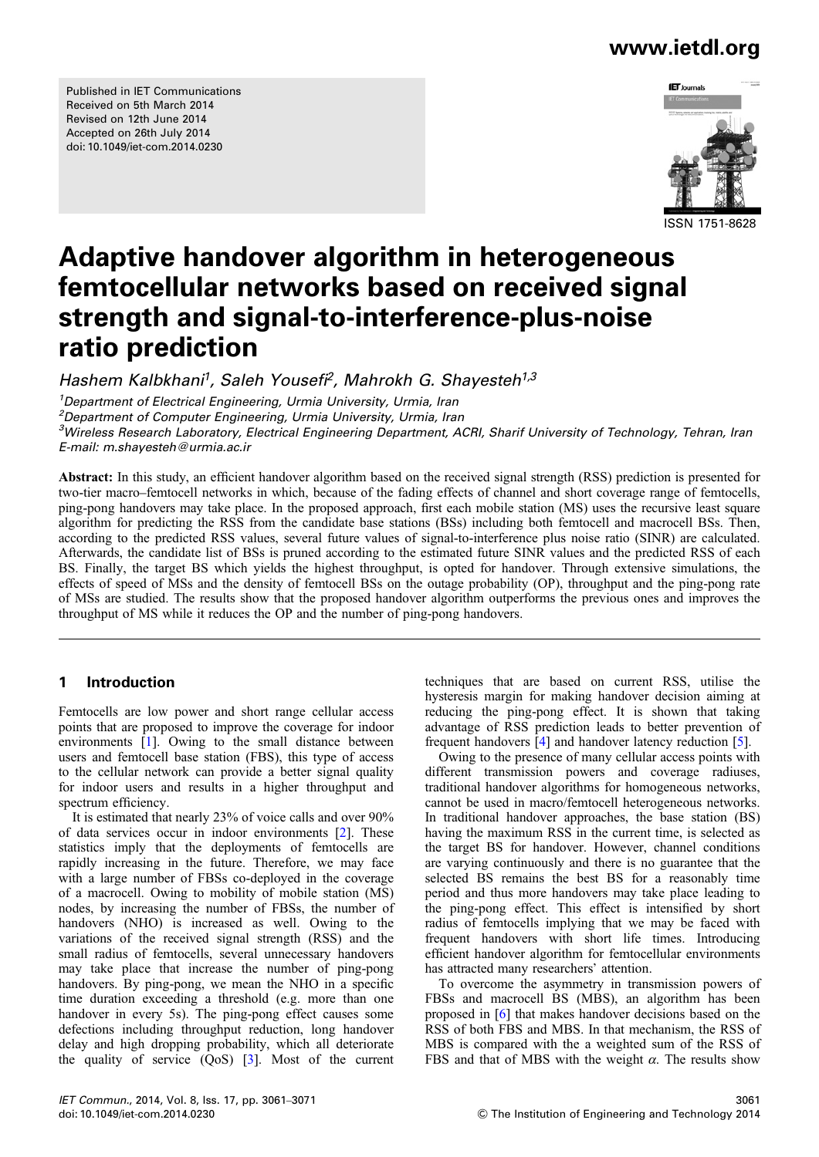Published in IET Communications Received on 5th March 2014 Revised on 12th June 2014 Accepted on 26th July 2014 doi: 10.1049/iet-com.2014.0230



# Adaptive handover algorithm in heterogeneous femtocellular networks based on received signal strength and signal-to-interference-plus-noise ratio prediction

Hashem Kalbkhani<sup>1</sup>, Saleh Yousefi<sup>2</sup>, Mahrokh G. Shayesteh<sup>1,3</sup>

<sup>1</sup>Department of Electrical Engineering, Urmia University, Urmia, Iran

2 Department of Computer Engineering, Urmia University, Urmia, Iran

<sup>3</sup>Wireless Research Laboratory, Electrical Engineering Department, ACRI, Sharif University of Technology, Tehran, Iran E-mail: m.shayesteh@urmia.ac.ir

Abstract: In this study, an efficient handover algorithm based on the received signal strength (RSS) prediction is presented for two-tier macro–femtocell networks in which, because of the fading effects of channel and short coverage range of femtocells, ping-pong handovers may take place. In the proposed approach, first each mobile station (MS) uses the recursive least square algorithm for predicting the RSS from the candidate base stations (BSs) including both femtocell and macrocell BSs. Then, according to the predicted RSS values, several future values of signal-to-interference plus noise ratio (SINR) are calculated. Afterwards, the candidate list of BSs is pruned according to the estimated future SINR values and the predicted RSS of each BS. Finally, the target BS which yields the highest throughput, is opted for handover. Through extensive simulations, the effects of speed of MSs and the density of femtocell BSs on the outage probability (OP), throughput and the ping-pong rate of MSs are studied. The results show that the proposed handover algorithm outperforms the previous ones and improves the throughput of MS while it reduces the OP and the number of ping-pong handovers.

### 1 Introduction

Femtocells are low power and short range cellular access points that are proposed to improve the coverage for indoor environments [1]. Owing to the small distance between users and femtocell base station (FBS), this type of access to the cellular network can provide a better signal quality for indoor users and results in a higher throughput and spectrum efficiency.

It is estimated that nearly 23% of voice calls and over 90% of data services occur in indoor environments [2]. These statistics imply that the deployments of femtocells are rapidly increasing in the future. Therefore, we may face with a large number of FBSs co-deployed in the coverage of a macrocell. Owing to mobility of mobile station (MS) nodes, by increasing the number of FBSs, the number of handovers (NHO) is increased as well. Owing to the variations of the received signal strength (RSS) and the small radius of femtocells, several unnecessary handovers may take place that increase the number of ping-pong handovers. By ping-pong, we mean the NHO in a specific time duration exceeding a threshold (e.g. more than one handover in every 5s). The ping-pong effect causes some defections including throughput reduction, long handover delay and high dropping probability, which all deteriorate the quality of service  $(QoS)$  [3]. Most of the current

techniques that are based on current RSS, utilise the hysteresis margin for making handover decision aiming at reducing the ping-pong effect. It is shown that taking advantage of RSS prediction leads to better prevention of frequent handovers [4] and handover latency reduction [5].

Owing to the presence of many cellular access points with different transmission powers and coverage radiuses, traditional handover algorithms for homogeneous networks, cannot be used in macro/femtocell heterogeneous networks. In traditional handover approaches, the base station (BS) having the maximum RSS in the current time, is selected as the target BS for handover. However, channel conditions are varying continuously and there is no guarantee that the selected BS remains the best BS for a reasonably time period and thus more handovers may take place leading to the ping-pong effect. This effect is intensified by short radius of femtocells implying that we may be faced with frequent handovers with short life times. Introducing efficient handover algorithm for femtocellular environments has attracted many researchers' attention.

To overcome the asymmetry in transmission powers of FBSs and macrocell BS (MBS), an algorithm has been proposed in [6] that makes handover decisions based on the RSS of both FBS and MBS. In that mechanism, the RSS of MBS is compared with the a weighted sum of the RSS of FBS and that of MBS with the weight  $\alpha$ . The results show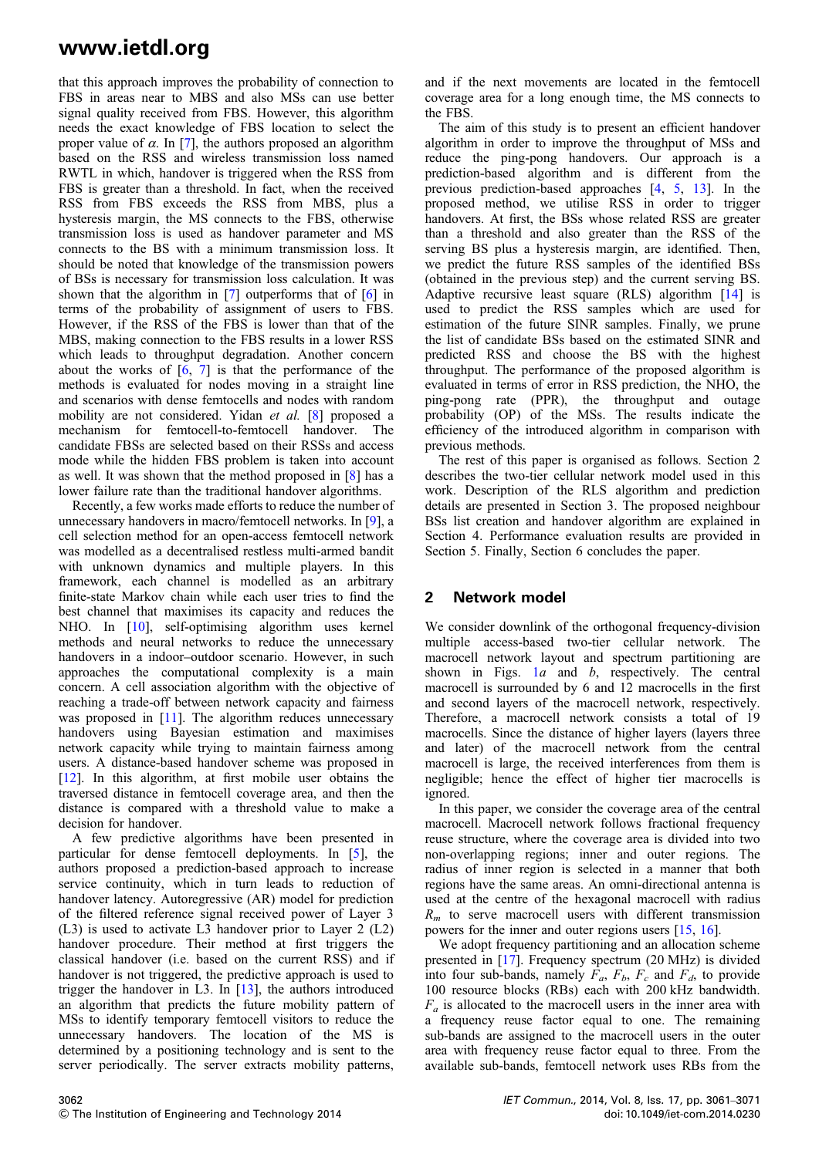that this approach improves the probability of connection to FBS in areas near to MBS and also MSs can use better signal quality received from FBS. However, this algorithm needs the exact knowledge of FBS location to select the proper value of  $\alpha$ . In [7], the authors proposed an algorithm based on the RSS and wireless transmission loss named RWTL in which, handover is triggered when the RSS from FBS is greater than a threshold. In fact, when the received RSS from FBS exceeds the RSS from MBS, plus a hysteresis margin, the MS connects to the FBS, otherwise transmission loss is used as handover parameter and MS connects to the BS with a minimum transmission loss. It should be noted that knowledge of the transmission powers of BSs is necessary for transmission loss calculation. It was shown that the algorithm in [7] outperforms that of [6] in terms of the probability of assignment of users to FBS. However, if the RSS of the FBS is lower than that of the MBS, making connection to the FBS results in a lower RSS which leads to throughput degradation. Another concern about the works of  $[6, 7]$  is that the performance of the methods is evaluated for nodes moving in a straight line and scenarios with dense femtocells and nodes with random mobility are not considered. Yidan et al. [8] proposed a mechanism for femtocell-to-femtocell handover. The candidate FBSs are selected based on their RSSs and access mode while the hidden FBS problem is taken into account as well. It was shown that the method proposed in [8] has a lower failure rate than the traditional handover algorithms.

Recently, a few works made efforts to reduce the number of unnecessary handovers in macro/femtocell networks. In [9], a cell selection method for an open-access femtocell network was modelled as a decentralised restless multi-armed bandit with unknown dynamics and multiple players. In this framework, each channel is modelled as an arbitrary finite-state Markov chain while each user tries to find the best channel that maximises its capacity and reduces the NHO. In [10], self-optimising algorithm uses kernel methods and neural networks to reduce the unnecessary handovers in a indoor–outdoor scenario. However, in such approaches the computational complexity is a main concern. A cell association algorithm with the objective of reaching a trade-off between network capacity and fairness was proposed in [11]. The algorithm reduces unnecessary handovers using Bayesian estimation and maximises network capacity while trying to maintain fairness among users. A distance-based handover scheme was proposed in [12]. In this algorithm, at first mobile user obtains the traversed distance in femtocell coverage area, and then the distance is compared with a threshold value to make a decision for handover.

A few predictive algorithms have been presented in particular for dense femtocell deployments. In [5], the authors proposed a prediction-based approach to increase service continuity, which in turn leads to reduction of handover latency. Autoregressive (AR) model for prediction of the filtered reference signal received power of Layer 3 (L3) is used to activate L3 handover prior to Layer 2 (L2) handover procedure. Their method at first triggers the classical handover (i.e. based on the current RSS) and if handover is not triggered, the predictive approach is used to trigger the handover in L3. In [13], the authors introduced an algorithm that predicts the future mobility pattern of MSs to identify temporary femtocell visitors to reduce the unnecessary handovers. The location of the MS is determined by a positioning technology and is sent to the server periodically. The server extracts mobility patterns,

and if the next movements are located in the femtocell coverage area for a long enough time, the MS connects to the FBS.

The aim of this study is to present an efficient handover algorithm in order to improve the throughput of MSs and reduce the ping-pong handovers. Our approach is a prediction-based algorithm and is different from the previous prediction-based approaches [4, 5, 13]. In the proposed method, we utilise RSS in order to trigger handovers. At first, the BSs whose related RSS are greater than a threshold and also greater than the RSS of the serving BS plus a hysteresis margin, are identified. Then, we predict the future RSS samples of the identified BSs (obtained in the previous step) and the current serving BS. Adaptive recursive least square (RLS) algorithm [14] is used to predict the RSS samples which are used for estimation of the future SINR samples. Finally, we prune the list of candidate BSs based on the estimated SINR and predicted RSS and choose the BS with the highest throughput. The performance of the proposed algorithm is evaluated in terms of error in RSS prediction, the NHO, the ping-pong rate (PPR), the throughput and outage probability (OP) of the MSs. The results indicate the efficiency of the introduced algorithm in comparison with previous methods.

The rest of this paper is organised as follows. Section 2 describes the two-tier cellular network model used in this work. Description of the RLS algorithm and prediction details are presented in Section 3. The proposed neighbour BSs list creation and handover algorithm are explained in Section 4. Performance evaluation results are provided in Section 5. Finally, Section 6 concludes the paper.

### 2 Network model

We consider downlink of the orthogonal frequency-division multiple access-based two-tier cellular network. The macrocell network layout and spectrum partitioning are shown in Figs.  $1a$  and  $b$ , respectively. The central macrocell is surrounded by 6 and 12 macrocells in the first and second layers of the macrocell network, respectively. Therefore, a macrocell network consists a total of 19 macrocells. Since the distance of higher layers (layers three and later) of the macrocell network from the central macrocell is large, the received interferences from them is negligible; hence the effect of higher tier macrocells is ignored.

In this paper, we consider the coverage area of the central macrocell. Macrocell network follows fractional frequency reuse structure, where the coverage area is divided into two non-overlapping regions; inner and outer regions. The radius of inner region is selected in a manner that both regions have the same areas. An omni-directional antenna is used at the centre of the hexagonal macrocell with radius  $R<sub>m</sub>$  to serve macrocell users with different transmission powers for the inner and outer regions users [15, 16].

We adopt frequency partitioning and an allocation scheme presented in [17]. Frequency spectrum (20 MHz) is divided into four sub-bands, namely  $F_a$ ,  $F_b$ ,  $F_c$  and  $F_d$ , to provide 100 resource blocks (RBs) each with 200 kHz bandwidth.  $F_a$  is allocated to the macrocell users in the inner area with a frequency reuse factor equal to one. The remaining sub-bands are assigned to the macrocell users in the outer area with frequency reuse factor equal to three. From the available sub-bands, femtocell network uses RBs from the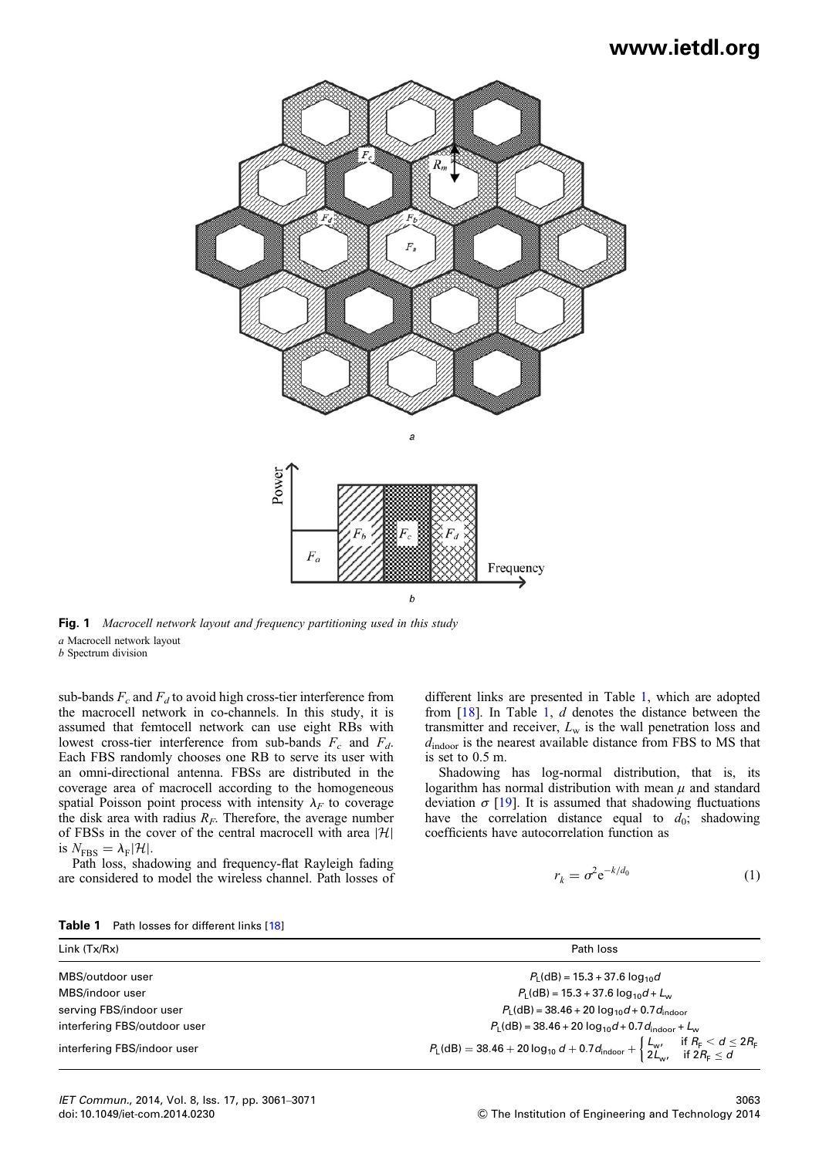

Fig. 1 Macrocell network layout and frequency partitioning used in this study a Macrocell network layout

b Spectrum division

sub-bands  $F_c$  and  $F_d$  to avoid high cross-tier interference from the macrocell network in co-channels. In this study, it is assumed that femtocell network can use eight RBs with lowest cross-tier interference from sub-bands  $F_c$  and  $F_d$ . Each FBS randomly chooses one RB to serve its user with an omni-directional antenna. FBSs are distributed in the coverage area of macrocell according to the homogeneous spatial Poisson point process with intensity  $\lambda_F$  to coverage the disk area with radius  $R_F$ . Therefore, the average number of FBSs in the cover of the central macrocell with area  $|H|$ is  $N_{\text{FBS}} = \lambda_{\text{F}} |\mathcal{H}|$ .

Path loss, shadowing and frequency-flat Rayleigh fading are considered to model the wireless channel. Path losses of

different links are presented in Table 1, which are adopted from  $[18]$ . In Table 1, d denotes the distance between the transmitter and receiver,  $L<sub>w</sub>$  is the wall penetration loss and  $d_{\text{indoor}}$  is the nearest available distance from FBS to MS that is set to 0.5 m.

Shadowing has log-normal distribution, that is, its logarithm has normal distribution with mean  $\mu$  and standard deviation  $\sigma$  [19]. It is assumed that shadowing fluctuations have the correlation distance equal to  $d_0$ ; shadowing coefficients have autocorrelation function as

$$
r_k = \sigma^2 e^{-k/d_0} \tag{1}
$$

| <b>Table 1</b> Path losses for different links [18] |  |
|-----------------------------------------------------|--|
|                                                     |  |

| Link $(Tx/Rx)$               | Path loss                                                                                                                                                                                                              |
|------------------------------|------------------------------------------------------------------------------------------------------------------------------------------------------------------------------------------------------------------------|
| MBS/outdoor user             | $P_1$ (dB) = 15.3 + 37.6 $log_{10}d$                                                                                                                                                                                   |
| MBS/indoor user              | $P_1$ (dB) = 15.3 + 37.6 $log_{10}d$ + $L_w$                                                                                                                                                                           |
| serving FBS/indoor user      | $P_1$ (dB) = 38.46 + 20 $log_{10}d + 0.7d_{\text{indoor}}$                                                                                                                                                             |
| interfering FBS/outdoor user | $P_1$ (dB) = 38.46 + 20 $log_{10}d + 0.7d_{index} + L_w$                                                                                                                                                               |
| interfering FBS/indoor user  | $P_{L}$ (dB) = 38.46 + 20 log <sub>10</sub> d + 0.7 d <sub>indoor</sub> + $\begin{cases} L_{\text{w}} & \text{if } R_{\text{F}} < d \leq 2R_{\text{F}} \\ 2L_{\text{w}} & \text{if } 2R_{\text{F}} \leq d \end{cases}$ |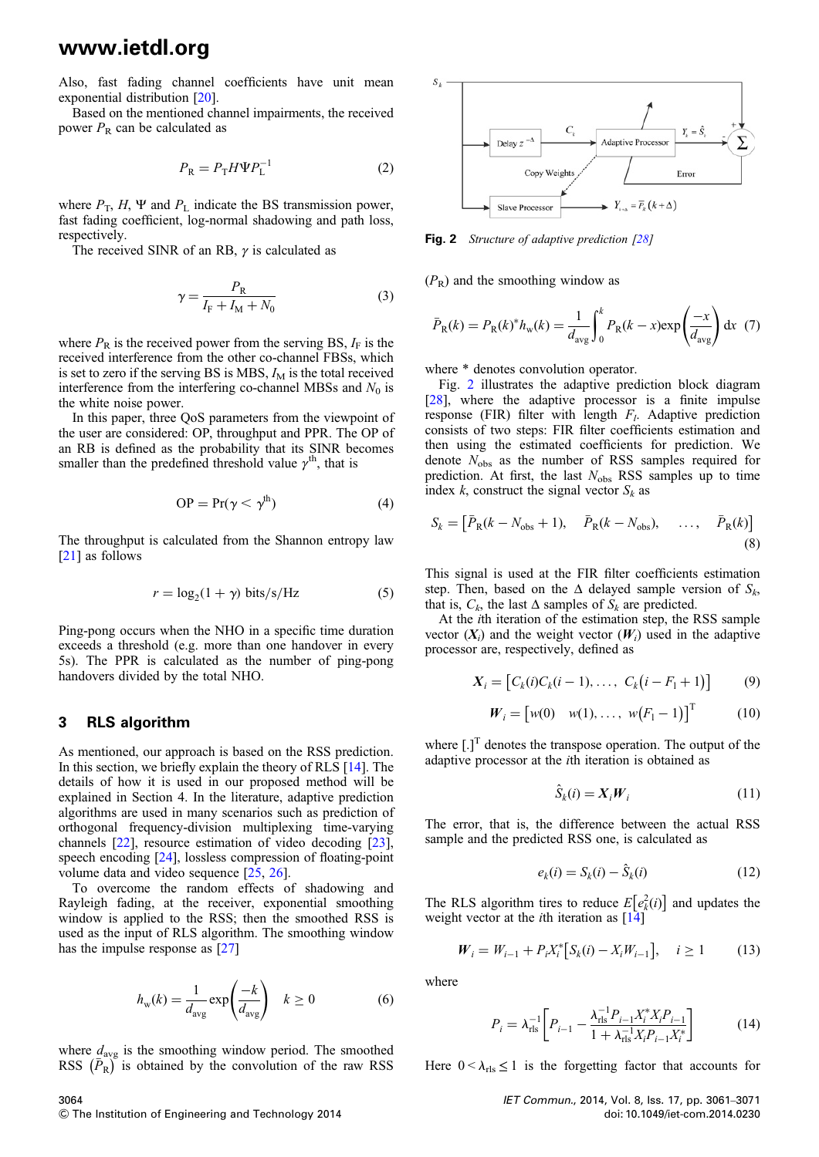Also, fast fading channel coefficients have unit mean exponential distribution [20].

Based on the mentioned channel impairments, the received power  $P_R$  can be calculated as

$$
P_{\rm R} = P_{\rm T} H \Psi P_{\rm L}^{-1} \tag{2}
$$

where  $P_T$ , H, Ψ and  $P_L$  indicate the BS transmission power, fast fading coefficient, log-normal shadowing and path loss, respectively.

The received SINR of an RB,  $\gamma$  is calculated as

$$
\gamma = \frac{P_{\rm R}}{I_{\rm F} + I_{\rm M} + N_0} \tag{3}
$$

where  $P_R$  is the received power from the serving BS,  $I_F$  is the received interference from the other co-channel FBSs, which is set to zero if the serving BS is MBS,  $I_M$  is the total received interference from the interfering co-channel MBSs and  $N_0$  is the white noise power.

In this paper, three QoS parameters from the viewpoint of the user are considered: OP, throughput and PPR. The OP of an RB is defined as the probability that its SINR becomes smaller than the predefined threshold value  $\gamma^{\text{th}}$ , that is

$$
OP = Pr(\gamma < \gamma^{\text{th}}) \tag{4}
$$

The throughput is calculated from the Shannon entropy law [21] as follows

$$
r = \log_2(1 + \gamma) \text{ bits/s/Hz}
$$
 (5)

Ping-pong occurs when the NHO in a specific time duration exceeds a threshold (e.g. more than one handover in every 5s). The PPR is calculated as the number of ping-pong handovers divided by the total NHO.

#### 3 RLS algorithm

3064

As mentioned, our approach is based on the RSS prediction. In this section, we briefly explain the theory of RLS [14]. The details of how it is used in our proposed method will be explained in Section 4. In the literature, adaptive prediction algorithms are used in many scenarios such as prediction of orthogonal frequency-division multiplexing time-varying channels [22], resource estimation of video decoding [23], speech encoding [24], lossless compression of floating-point volume data and video sequence [25, 26].

To overcome the random effects of shadowing and Rayleigh fading, at the receiver, exponential smoothing window is applied to the RSS; then the smoothed RSS is used as the input of RLS algorithm. The smoothing window has the impulse response as [27]

$$
h_{\rm w}(k) = \frac{1}{d_{\rm avg}} \exp\left(\frac{-k}{d_{\rm avg}}\right) \quad k \ge 0 \tag{6}
$$

where  $d_{avg}$  is the smoothing window period. The smoothed RSS  $(\overline{P}_{\text{R}}^n)$  is obtained by the convolution of the raw RSS



**Fig. 2** Structure of adaptive prediction [28]

 $(P_R)$  and the smoothing window as

$$
\bar{P}_{R}(k) = P_{R}(k)^{*} h_{w}(k) = \frac{1}{d_{avg}} \int_{0}^{k} P_{R}(k - x) \exp\left(\frac{-x}{d_{avg}}\right) dx
$$
 (7)

where  $*$  denotes convolution operator.

Fig. 2 illustrates the adaptive prediction block diagram [28], where the adaptive processor is a finite impulse response (FIR) filter with length  $F_l$ . Adaptive prediction consists of two steps: FIR filter coefficients estimation and then using the estimated coefficients for prediction. We denote  $N_{obs}$  as the number of RSS samples required for prediction. At first, the last  $N_{obs}$  RSS samples up to time index k, construct the signal vector  $S_k$  as

$$
S_k = \begin{bmatrix} \bar{P}_R(k - N_{\text{obs}} + 1), & \bar{P}_R(k - N_{\text{obs}}), & \dots, & \bar{P}_R(k) \end{bmatrix}
$$
\n(8)

This signal is used at the FIR filter coefficients estimation step. Then, based on the  $\Delta$  delayed sample version of  $S_k$ , that is,  $C_k$ , the last  $\Delta$  samples of  $S_k$  are predicted.

At the ith iteration of the estimation step, the RSS sample vector  $(X_i)$  and the weight vector  $(W_i)$  used in the adaptive processor are, respectively, defined as

$$
X_i = [C_k(i)C_k(i-1), \dots, C_k(i - F_1 + 1)] \tag{9}
$$

$$
W_i = [w(0) \quad w(1), \dots, \ w(F_1 - 1)]^T \tag{10}
$$

where  $\left[ . \right]^T$  denotes the transpose operation. The output of the adaptive processor at the ith iteration is obtained as

$$
\hat{S}_k(i) = X_i W_i \tag{11}
$$

The error, that is, the difference between the actual RSS sample and the predicted RSS one, is calculated as

$$
e_k(i) = S_k(i) - \hat{S}_k(i)
$$
 (12)

The RLS algorithm tires to reduce  $E[e_k^2(i)]$  and updates the weight vector at the *i*th iteration as  $[14]$ 

$$
W_i = W_{i-1} + P_i X_i^* [S_k(i) - X_i W_{i-1}], \quad i \ge 1
$$
 (13)

where

$$
P_{i} = \lambda_{\text{rls}}^{-1} \left[ P_{i-1} - \frac{\lambda_{\text{rls}}^{-1} P_{i-1} X_{i}^{*} X_{i} P_{i-1}}{1 + \lambda_{\text{rls}}^{-1} X_{i} P_{i-1} X_{i}^{*}} \right]
$$
(14)

Here  $0 < \lambda_{\text{rls}} \le 1$  is the forgetting factor that accounts for

& The Institution of Engineering and Technology 2014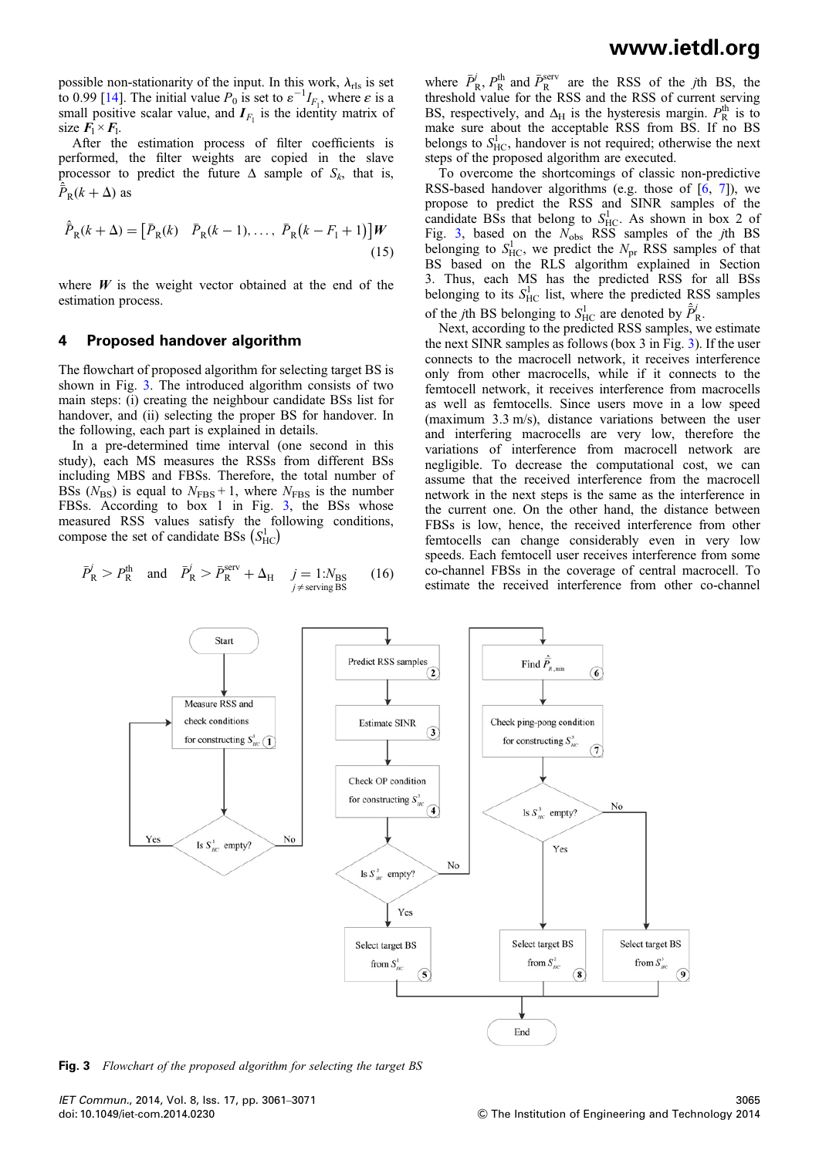possible non-stationarity of the input. In this work,  $\lambda_{\text{rls}}$  is set to 0.99 [14]. The initial value  $P_0$  is set to  $\varepsilon^{-1} I_{F_1}$ , where  $\varepsilon$  is a small positive scalar value and  $I_{F_1}$  is the identity matrix of small positive scalar value, and  $I_F$  is the identity matrix of size  $F_1 \times F_1$ .

After the estimation process of filter coefficients is performed, the filter weights are copied in the slave processor to predict the future  $\Delta$  sample of  $S_k$ , that is,  $\hat{\overline{P}}_{R}(k+\Delta)$  as

$$
\hat{\bar{P}}_{R}(k+\Delta) = [\bar{P}_{R}(k) \quad \bar{P}_{R}(k-1), \dots, \ \bar{P}_{R}(k-F_{1}+1)]W
$$
\n(15)

where  $W$  is the weight vector obtained at the end of the estimation process.

#### 4 Proposed handover algorithm

The flowchart of proposed algorithm for selecting target BS is shown in Fig. 3. The introduced algorithm consists of two main steps: (i) creating the neighbour candidate BSs list for handover, and (ii) selecting the proper BS for handover. In the following, each part is explained in details.

In a pre-determined time interval (one second in this study), each MS measures the RSSs from different BSs including MBS and FBSs. Therefore, the total number of BSs ( $N_{\text{BS}}$ ) is equal to  $N_{\text{FBS}} + 1$ , where  $N_{\text{FBS}}$  is the number FBSs. According to box 1 in Fig. 3, the BSs whose measured RSS values satisfy the following conditions, compose the set of candidate BSs  $(S<sub>HC</sub><sup>1</sup>)$ 

$$
\bar{P}_{\text{R}}^{j} > P_{\text{R}}^{\text{th}} \quad \text{and} \quad \bar{P}_{\text{R}}^{j} > \bar{P}_{\text{R}}^{\text{serv}} + \Delta_{\text{H}} \quad j = 1:N_{\text{BS}} \quad (16)
$$

### www.ietdl.org

where  $\bar{P}_R^j$ ,  $P_R^{\text{th}}$  and  $\bar{P}_R^{\text{serv}}$  are the RSS of the *j*th BS, the threshold value for the RSS and the RSS of current serving BS, respectively, and  $\Delta_H$  is the hysteresis margin.  $P_R^{\text{th}}$  is to make sure about the acceptable RSS from BS. If no BS belongs to  $S_{\text{HC}}^1$ , handover is not required; otherwise the next steps of the proposed algorithm are executed.

To overcome the shortcomings of classic non-predictive RSS-based handover algorithms (e.g. those of  $[6, 7]$ ), we propose to predict the RSS and SINR samples of the candidate BSs that belong to  $S_{HC}^1$ . As shown in box 2 of Fig. 3, based on the  $N_{\text{obs}}$  RSS samples of the *j*th BS belonging to  $S_{\text{HC}}^1$ , we predict the  $N_{\text{pr}}$  RSS samples of that BS based on the RLS algorithm explained in Section 3. Thus, each MS has the predicted RSS for all BSs belonging to its  $S_{\text{HC}}^1$  list, where the predicted RSS samples of the *j*th BS belonging to  $S_{HC}^1$  are denoted by  $\hat{\vec{P}}_R^j$ .

Next, according to the predicted RSS samples, we estimate the next SINR samples as follows (box 3 in Fig. 3). If the user connects to the macrocell network, it receives interference only from other macrocells, while if it connects to the femtocell network, it receives interference from macrocells as well as femtocells. Since users move in a low speed (maximum 3.3 m/s), distance variations between the user and interfering macrocells are very low, therefore the variations of interference from macrocell network are negligible. To decrease the computational cost, we can assume that the received interference from the macrocell network in the next steps is the same as the interference in the current one. On the other hand, the distance between FBSs is low, hence, the received interference from other femtocells can change considerably even in very low speeds. Each femtocell user receives interference from some co-channel FBSs in the coverage of central macrocell. To estimate the received interference from other co-channel



**Fig. 3** Flowchart of the proposed algorithm for selecting the target BS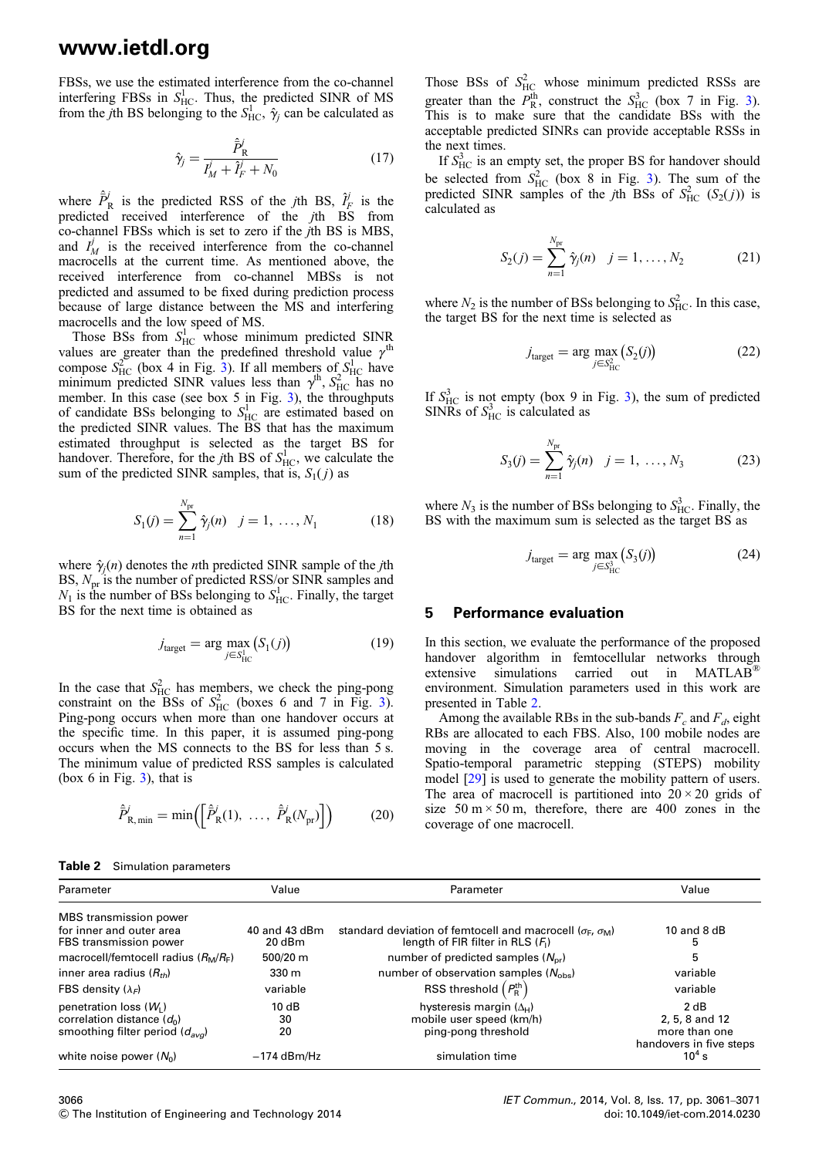FBSs, we use the estimated interference from the co-channel interfering FBSs in  $S_{HC}^1$ . Thus, the predicted SINR of MS from the jth BS belonging to the  $S_{\text{HC}}^1$ ,  $\hat{\gamma}_j$  can be calculated as

$$
\hat{\gamma}_j = \frac{\hat{\bar{P}}_R^j}{I_M^j + \hat{I}_F^j + N_0} \tag{17}
$$

where  $\hat{P}_{\rm R}^j$  is the predicted RSS of the *j*th BS,  $\hat{I}_F^j$  is the predicted received interference of the jth BS from co-channel FBSs which is set to zero if the jth BS is MBS, and  $I_M^j$  is the received interference from the co-channel macrocells at the current time. As mentioned above, the received interference from co-channel MBSs is not predicted and assumed to be fixed during prediction process because of large distance between the MS and interfering macrocells and the low speed of MS.

Those BSs from  $S_{HC}^{1}$  whose minimum predicted SINR values are greater than the predefined threshold value  $\gamma$ <sup>th</sup> compose  $S_{HC}^{2\degree}$  (box 4 in Fig. 3). If all members of  $S_{HC}^{1}$  have minimum predicted SINR values less than  $\gamma^{\text{th}}$ ,  $S_{\text{HC}}^2$  has no member. In this case (see box 5 in Fig. 3), the throughputs of candidate BSs belonging to  $S_{HC}^1$  are estimated based on the predicted SINR values. The BS that has the maximum estimated throughput is selected as the target BS for handover. Therefore, for the *j*th BS of  $S_{HC}^1$ , we calculate the sum of the predicted SINR samples, that is,  $S_1(j)$  as

$$
S_1(j) = \sum_{n=1}^{N_{\text{pr}}} \hat{\gamma}_j(n) \quad j = 1, \dots, N_1 \quad (18)
$$

where  $\hat{\gamma}_i(n)$  denotes the *n*th predicted SINR sample of the *j*th BS,  $N_{\text{pr}}$  is the number of predicted RSS/or SINR samples and  $N_1$  is the number of BSs belonging to  $S_{\text{HC}}^1$ . Finally, the target BS for the next time is obtained as

$$
j_{\text{target}} = \arg \max_{j \in S_{\text{HC}}^1} (S_1(j)) \tag{19}
$$

In the case that  $S_{\text{HC}}^2$  has members, we check the ping-pong constraint on the BSs of  $S_{HC}^2$  (boxes 6 and 7 in Fig. 3). Ping-pong occurs when more than one handover occurs at the specific time. In this paper, it is assumed ping-pong occurs when the MS connects to the BS for less than 5 s. The minimum value of predicted RSS samples is calculated (box 6 in Fig. 3), that is

$$
\hat{\overline{P}}_{\text{R,min}}^{j} = \min\left(\left[\hat{P}_{\text{R}}^{j}(1), \ \ldots, \ \hat{\overline{P}}_{\text{R}}^{j}(N_{\text{pr}})\right]\right) \tag{20}
$$

| <b>Table 2</b> Simulation parameters |
|--------------------------------------|
|--------------------------------------|

Those BSs of  $S_{HC}^2$  whose minimum predicted RSSs are greater than the  $P_{\rm R}^{\rm th}$ , construct the  $S_{\rm HC}^3$  (box 7 in Fig. 3). This is to make sure that the candidate BSs with the acceptable predicted SINRs can provide acceptable RSSs in the next times.

If  $S_{\text{HC}}^3$  is an empty set, the proper BS for handover should be selected from  $S_{HC}^2$  (box 8 in Fig. 3). The sum of the predicted SINR samples of the *j*th BSs of  $S_{HC}^2$  ( $S_2(j)$ ) is calculated as

$$
S_2(j) = \sum_{n=1}^{N_{\text{pr}}} \hat{\gamma}_j(n) \quad j = 1, ..., N_2 \quad (21)
$$

where  $N_2$  is the number of BSs belonging to  $S_{HC}^2$ . In this case, the target BS for the next time is selected as

$$
j_{\text{target}} = \arg \max_{j \in S_{\text{HC}}^2} (S_2(j))
$$
 (22)

If  $S_{\text{HC}}^3$  is not empty (box 9 in Fig. 3), the sum of predicted SINRs of  $S_{HC}^3$  is calculated as

$$
S_3(j) = \sum_{n=1}^{N_{\text{pr}}} \hat{\gamma}_j(n) \quad j = 1, \dots, N_3 \tag{23}
$$

where  $N_3$  is the number of BSs belonging to  $S_{\text{HC}}^3$ . Finally, the BS with the maximum sum is selected as the target BS as

$$
j_{\text{target}} = \arg \max_{j \in S_{\text{HC}}^3} (S_3(j)) \tag{24}
$$

#### 5 Performance evaluation

In this section, we evaluate the performance of the proposed handover algorithm in femtocellular networks through extensive simulations carried out in MATLAB<sup>®</sup> environment. Simulation parameters used in this work are presented in Table 2.

Among the available RBs in the sub-bands  $F_c$  and  $F_d$ , eight RBs are allocated to each FBS. Also, 100 mobile nodes are moving in the coverage area of central macrocell. Spatio-temporal parametric stepping (STEPS) mobility model [29] is used to generate the mobility pattern of users. The area of macrocell is partitioned into  $20 \times 20$  grids of size 50 m  $\times$  50 m, therefore, there are 400 zones in the coverage of one macrocell.

| Parameter                                  | Value         | Parameter                                                                 | Value                                    |
|--------------------------------------------|---------------|---------------------------------------------------------------------------|------------------------------------------|
| MBS transmission power                     |               |                                                                           |                                          |
| for inner and outer area                   | 40 and 43 dBm | standard deviation of femtocell and macrocell ( $\sigma_F$ , $\sigma_M$ ) | 10 and $8$ dB                            |
| <b>FBS</b> transmission power              | 20 dBm        | length of FIR filter in RLS $(F_1)$                                       | 5                                        |
| macrocell/femtocell radius $(R_M/R_F)$     | 500/20 m      | number of predicted samples $(N_{\text{pr}})$                             | 5                                        |
| inner area radius $(R_{th})$               | 330 m         | number of observation samples $(N_{\text{obs}})$                          | variable                                 |
| FBS density $(\lambda_F)$                  | variable      | RSS threshold $(P_R^{th})$                                                | variable                                 |
| penetration loss $(W_1)$                   | 10dB          | hysteresis margin $(\Delta_H)$                                            | 2 dB                                     |
| correlation distance $(d_0)$               | 30            | mobile user speed (km/h)                                                  | 2, 5, 8 and 12                           |
| smoothing filter period $(d_{\text{avg}})$ | 20            | ping-pong threshold                                                       | more than one<br>handovers in five steps |
| white noise power $(N_0)$                  | $-174$ dBm/Hz | simulation time                                                           | $10^4$ s                                 |

3066 & The Institution of Engineering and Technology 2014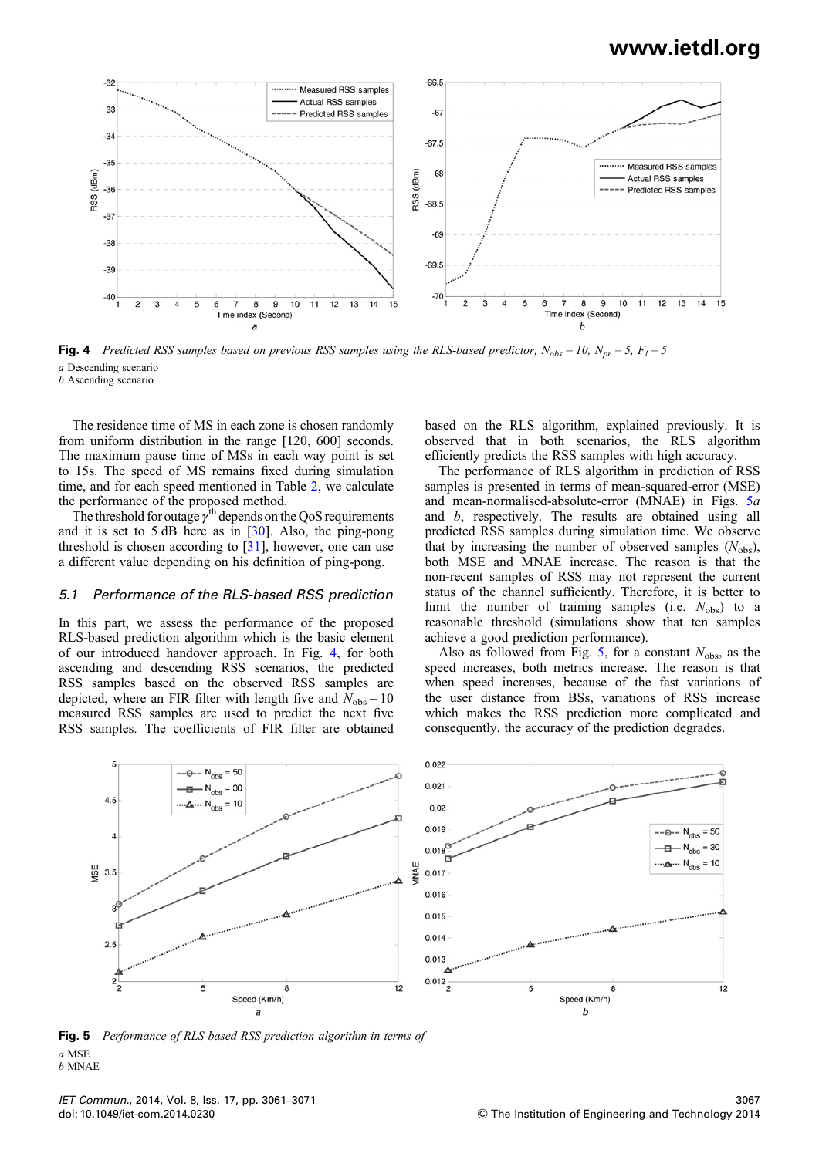

Fig. 4 Predicted RSS samples based on previous RSS samples using the RLS-based predictor,  $N_{obs} = 10$ ,  $N_{pr} = 5$ ,  $F_l = 5$ a Descending scenario

b Ascending scenario

The residence time of MS in each zone is chosen randomly from uniform distribution in the range [120, 600] seconds. The maximum pause time of MSs in each way point is set to 15s. The speed of MS remains fixed during simulation time, and for each speed mentioned in Table 2, we calculate the performance of the proposed method.

The threshold for outage  $\gamma$ <sup>th</sup> depends on the QoS requirements and it is set to 5 dB here as in [30]. Also, the ping-pong threshold is chosen according to  $[31]$ , however, one can use a different value depending on his definition of ping-pong.

#### 5.1 Performance of the RLS-based RSS prediction

In this part, we assess the performance of the proposed RLS-based prediction algorithm which is the basic element of our introduced handover approach. In Fig. 4, for both ascending and descending RSS scenarios, the predicted RSS samples based on the observed RSS samples are depicted, where an FIR filter with length five and  $N_{\text{obs}} = 10$ measured RSS samples are used to predict the next five RSS samples. The coefficients of FIR filter are obtained

based on the RLS algorithm, explained previously. It is observed that in both scenarios, the RLS algorithm efficiently predicts the RSS samples with high accuracy.

The performance of RLS algorithm in prediction of RSS samples is presented in terms of mean-squared-error (MSE) and mean-normalised-absolute-error (MNAE) in Figs. 5a and b, respectively. The results are obtained using all predicted RSS samples during simulation time. We observe that by increasing the number of observed samples  $(N_{\text{obs}})$ , both MSE and MNAE increase. The reason is that the non-recent samples of RSS may not represent the current status of the channel sufficiently. Therefore, it is better to limit the number of training samples (i.e.  $N_{\text{obs}}$ ) to a reasonable threshold (simulations show that ten samples achieve a good prediction performance).

Also as followed from Fig. 5, for a constant  $N_{\text{obs}}$ , as the speed increases, both metrics increase. The reason is that when speed increases, because of the fast variations of the user distance from BSs, variations of RSS increase which makes the RSS prediction more complicated and consequently, the accuracy of the prediction degrades.



Fig. 5 Performance of RLS-based RSS prediction algorithm in terms of a MSE b MNAE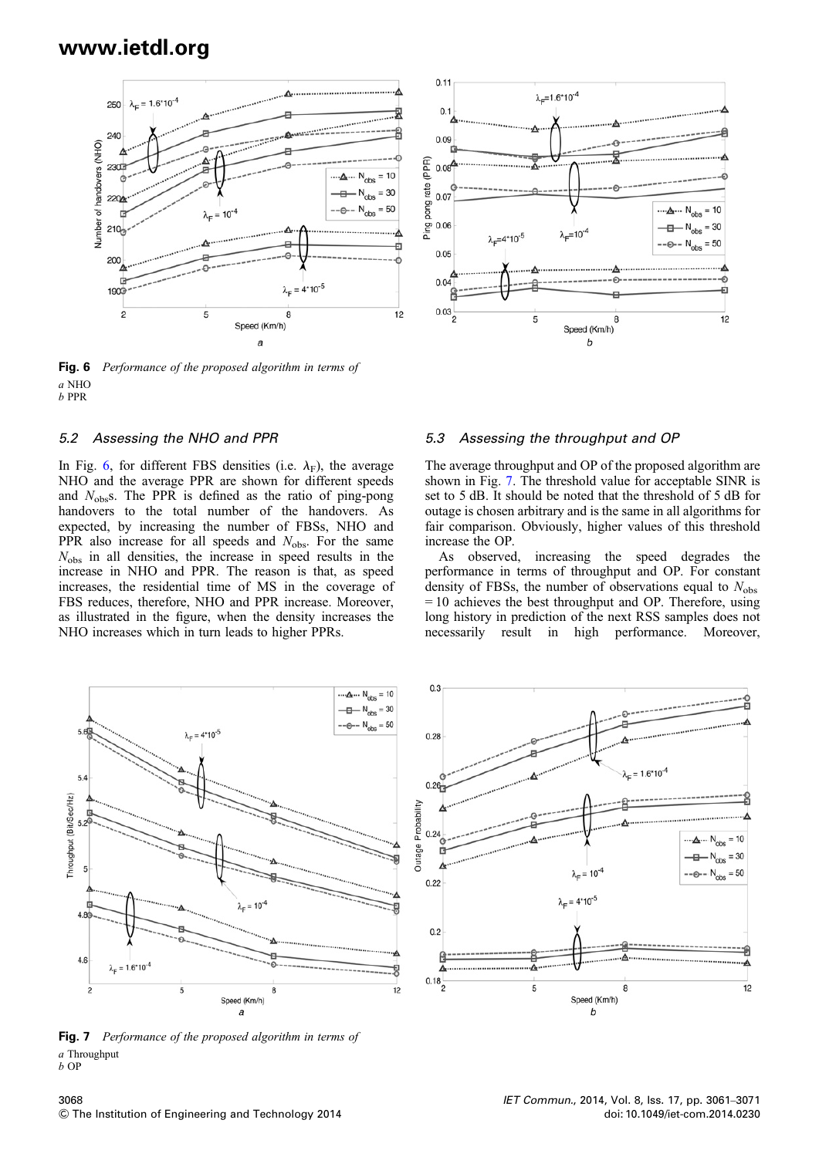

Fig. 6 Performance of the proposed algorithm in terms of a NHO b PPR

#### 5.2 Assessing the NHO and PPR

In Fig. 6, for different FBS densities (i.e.  $\lambda_F$ ), the average NHO and the average PPR are shown for different speeds and  $N_{\text{obs}}$ s. The PPR is defined as the ratio of ping-pong handovers to the total number of the handovers. As expected, by increasing the number of FBSs, NHO and PPR also increase for all speeds and  $N_{\text{obs}}$ . For the same  $N_{\text{obs}}$  in all densities, the increase in speed results in the increase in NHO and PPR. The reason is that, as speed increases, the residential time of MS in the coverage of FBS reduces, therefore, NHO and PPR increase. Moreover, as illustrated in the figure, when the density increases the NHO increases which in turn leads to higher PPRs.



#### 5.3 Assessing the throughput and OP

The average throughput and OP of the proposed algorithm are shown in Fig. 7. The threshold value for acceptable SINR is set to 5 dB. It should be noted that the threshold of 5 dB for outage is chosen arbitrary and is the same in all algorithms for fair comparison. Obviously, higher values of this threshold increase the OP.

As observed, increasing the speed degrades the performance in terms of throughput and OP. For constant density of FBSs, the number of observations equal to  $N_{\text{obs}}$ = 10 achieves the best throughput and OP. Therefore, using long history in prediction of the next RSS samples does not necessarily result in high performance. Moreover,



Fig. 7 Performance of the proposed algorithm in terms of a Throughput b OP

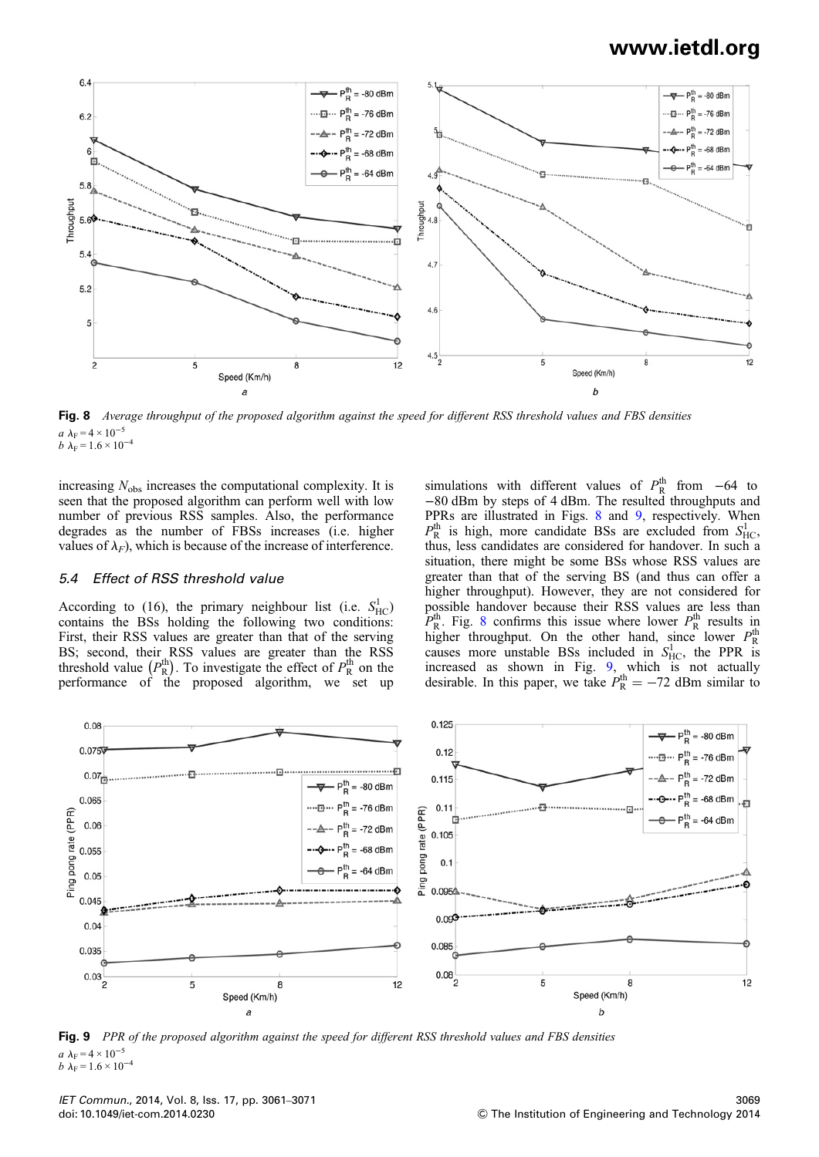

Fig. 8 Average throughput of the proposed algorithm against the speed for different RSS threshold values and FBS densities  $a \lambda_{\rm F} = 4 \times 10^{-5}$ 

 $b \lambda_F = 1.6 \times 10^{-4}$ 

increasing  $N_{\text{obs}}$  increases the computational complexity. It is seen that the proposed algorithm can perform well with low number of previous RSS samples. Also, the performance degrades as the number of FBSs increases (i.e. higher values of  $\lambda_F$ ), which is because of the increase of interference.

#### 5.4 Effect of RSS threshold value

According to (16), the primary neighbour list (i.e.  $S_{\text{HC}}^1$ ) contains the BSs holding the following two conditions: First, their RSS values are greater than that of the serving BS; second, their RSS values are greater than the RSS threshold value  $(P_{\text{R}}^{\text{th}})$ . To investigate the effect of  $P_{\text{R}}^{\text{th}}$  on the performance of the proposed algorithm, we set up

simulations with different values of  $P_{\rm R}^{\rm th}$  from -64 to −80 dBm by steps of 4 dBm. The resulted throughputs and PPRs are illustrated in Figs. 8 and 9, respectively. When  $P_{\rm R}^{\rm th}$  is high, more candidate BSs are excluded from  $S_{\rm HC}^1$ , thus, less candidates are considered for handover. In such a situation, there might be some BSs whose RSS values are greater than that of the serving BS (and thus can offer a higher throughput). However, they are not considered for possible handover because their RSS values are less than  $P_{\rm R}^{\rm th}$ . Fig. 8 confirms this issue where lower  $P_{\rm R}^{\rm th}$  results in higher throughput. On the other hand, since lower  $P_R^{\text{th}}$ causes more unstable BSs included in  $S_{HC}^1$ , the PPR is increased as shown in Fig. 9, which is not actually desirable. In this paper, we take  $P_R^{\text{th}} = -72$  dBm similar to



Fig. 9 PPR of the proposed algorithm against the speed for different RSS threshold values and FBS densities  $a \lambda_F = 4 \times 10^{-5}$  $b \lambda_F = 1.6 \times 10^{-4}$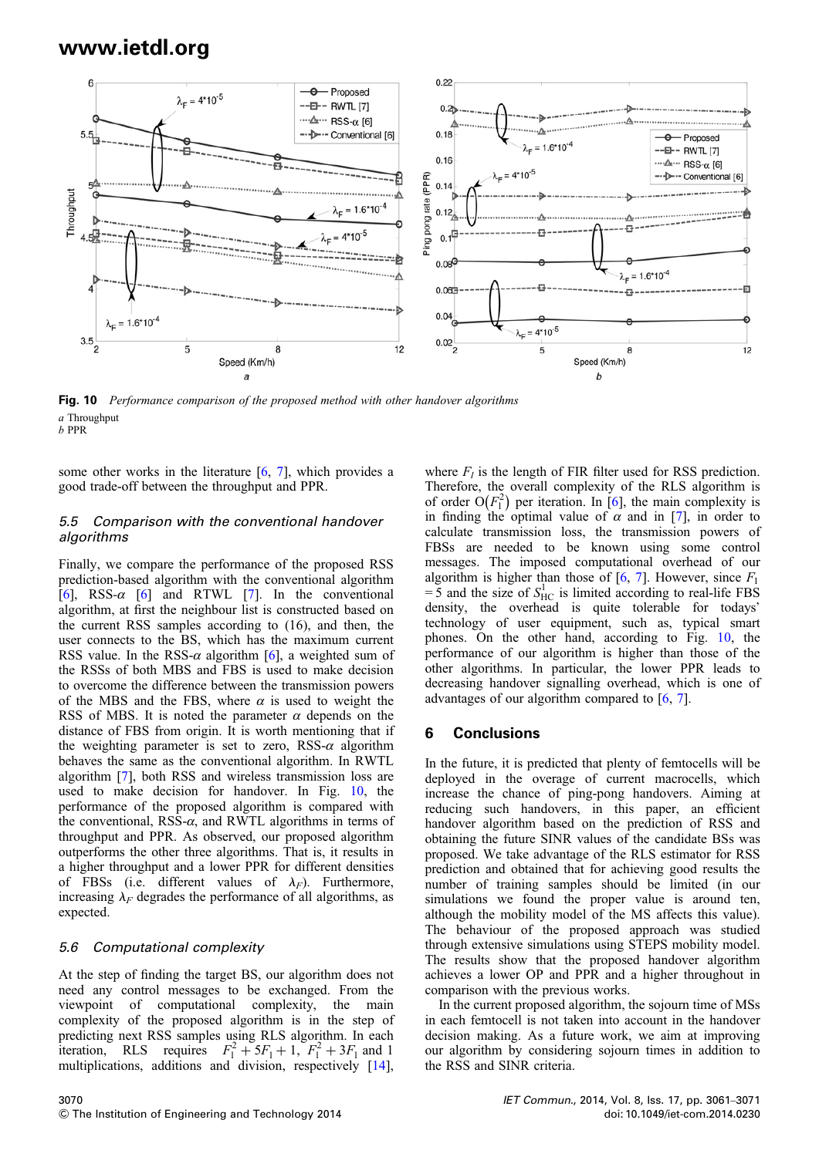

**Fig. 10** Performance comparison of the proposed method with other handover algorithms  $a$  Throughput b PPR

some other works in the literature [6, 7], which provides a good trade-off between the throughput and PPR.

### 5.5 Comparison with the conventional handover algorithms

Finally, we compare the performance of the proposed RSS prediction-based algorithm with the conventional algorithm [6], RSS- $\alpha$  [6] and RTWL [7]. In the conventional algorithm, at first the neighbour list is constructed based on the current RSS samples according to (16), and then, the user connects to the BS, which has the maximum current RSS value. In the RSS- $\alpha$  algorithm [6], a weighted sum of the RSSs of both MBS and FBS is used to make decision to overcome the difference between the transmission powers of the MBS and the FBS, where  $\alpha$  is used to weight the RSS of MBS. It is noted the parameter  $\alpha$  depends on the distance of FBS from origin. It is worth mentioning that if the weighting parameter is set to zero, RSS- $\alpha$  algorithm behaves the same as the conventional algorithm. In RWTL algorithm [7], both RSS and wireless transmission loss are used to make decision for handover. In Fig. 10, the performance of the proposed algorithm is compared with the conventional, RSS- $\alpha$ , and RWTL algorithms in terms of throughput and PPR. As observed, our proposed algorithm outperforms the other three algorithms. That is, it results in a higher throughput and a lower PPR for different densities of FBSs (i.e. different values of  $\lambda_F$ ). Furthermore, increasing  $\lambda_F$  degrades the performance of all algorithms, as expected.

#### 5.6 Computational complexity

At the step of finding the target BS, our algorithm does not need any control messages to be exchanged. From the viewpoint of computational complexity, the main complexity of the proposed algorithm is in the step of predicting next RSS samples using RLS algorithm. In each iteration, RLS requires  $F_1^2 + 5F_1 + 1$ ,  $F_1^2 + 3F_1$  and 1 multiplications, additions and division, respectively [14],

where  $F_l$  is the length of FIR filter used for RSS prediction. Therefore, the overall complexity of the RLS algorithm is of order  $O(F_1^2)$  per iteration. In [6], the main complexity is in finding the optimal value of  $\alpha$  and in [7], in order to calculate transmission loss, the transmission powers of FBSs are needed to be known using some control messages. The imposed computational overhead of our algorithm is higher than those of  $[6, 7]$ . However, since  $F_1$  $=$  5 and the size of  $S_{HC}^1$  is limited according to real-life FBS density, the overhead is quite tolerable for todays' technology of user equipment, such as, typical smart phones. On the other hand, according to Fig. 10, the performance of our algorithm is higher than those of the other algorithms. In particular, the lower PPR leads to decreasing handover signalling overhead, which is one of advantages of our algorithm compared to [6, 7].

### 6 Conclusions

In the future, it is predicted that plenty of femtocells will be deployed in the overage of current macrocells, which increase the chance of ping-pong handovers. Aiming at reducing such handovers, in this paper, an efficient handover algorithm based on the prediction of RSS and obtaining the future SINR values of the candidate BSs was proposed. We take advantage of the RLS estimator for RSS prediction and obtained that for achieving good results the number of training samples should be limited (in our simulations we found the proper value is around ten, although the mobility model of the MS affects this value). The behaviour of the proposed approach was studied through extensive simulations using STEPS mobility model. The results show that the proposed handover algorithm achieves a lower OP and PPR and a higher throughout in comparison with the previous works.

In the current proposed algorithm, the sojourn time of MSs in each femtocell is not taken into account in the handover decision making. As a future work, we aim at improving our algorithm by considering sojourn times in addition to the RSS and SINR criteria.